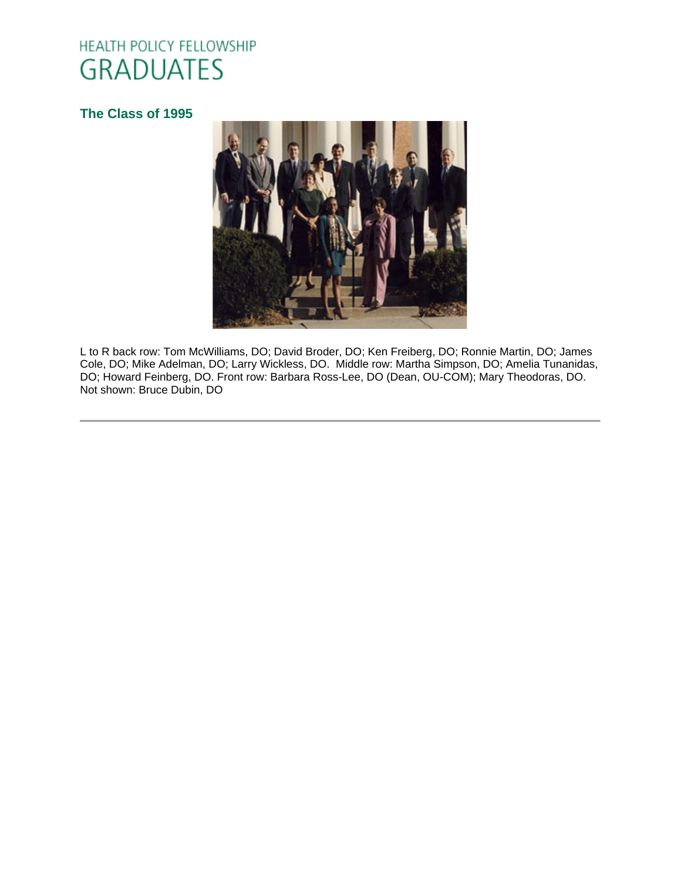# HEALTH POLICY FELLOWSHIP **GRADUATES**

# **[The Class of 1995](http://www.oucom.ohiou.edu/hpf/Graduates2012.htm)**



L to R back row: Tom McWilliams, DO; David Broder, DO; Ken Freiberg, DO; Ronnie Martin, DO; James Cole, DO; Mike Adelman, DO; Larry Wickless, DO. Middle row: Martha Simpson, DO; Amelia Tunanidas, DO; Howard Feinberg, DO. Front row: Barbara Ross-Lee, DO (Dean, OU-COM); Mary Theodoras, DO. Not shown: Bruce Dubin, DO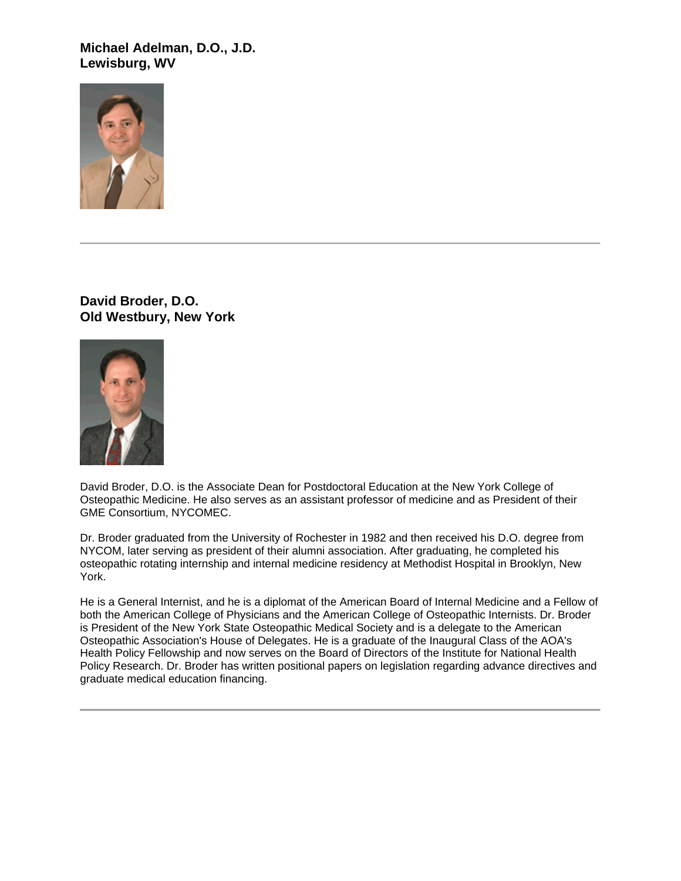**Michael Adelman, D.O., J.D. Lewisburg, WV**



**David Broder, D.O. Old Westbury, New York**



David Broder, D.O. is the Associate Dean for Postdoctoral Education at the New York College of Osteopathic Medicine. He also serves as an assistant professor of medicine and as President of their GME Consortium, NYCOMEC.

Dr. Broder graduated from the University of Rochester in 1982 and then received his D.O. degree from NYCOM, later serving as president of their alumni association. After graduating, he completed his osteopathic rotating internship and internal medicine residency at Methodist Hospital in Brooklyn, New York.

He is a General Internist, and he is a diplomat of the American Board of Internal Medicine and a Fellow of both the American College of Physicians and the American College of Osteopathic Internists. Dr. Broder is President of the New York State Osteopathic Medical Society and is a delegate to the American Osteopathic Association's House of Delegates. He is a graduate of the Inaugural Class of the AOA's Health Policy Fellowship and now serves on the Board of Directors of the Institute for National Health Policy Research. Dr. Broder has written positional papers on legislation regarding advance directives and graduate medical education financing.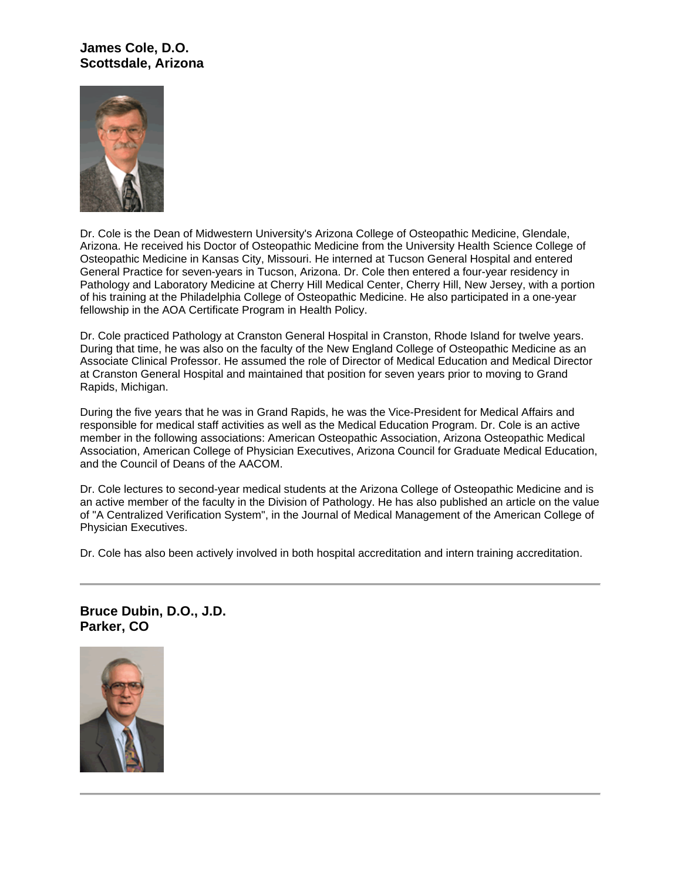# **James Cole, D.O. Scottsdale, Arizona**



Dr. Cole is the Dean of Midwestern University's Arizona College of Osteopathic Medicine, Glendale, Arizona. He received his Doctor of Osteopathic Medicine from the University Health Science College of Osteopathic Medicine in Kansas City, Missouri. He interned at Tucson General Hospital and entered General Practice for seven-years in Tucson, Arizona. Dr. Cole then entered a four-year residency in Pathology and Laboratory Medicine at Cherry Hill Medical Center, Cherry Hill, New Jersey, with a portion of his training at the Philadelphia College of Osteopathic Medicine. He also participated in a one-year fellowship in the AOA Certificate Program in Health Policy.

Dr. Cole practiced Pathology at Cranston General Hospital in Cranston, Rhode Island for twelve years. During that time, he was also on the faculty of the New England College of Osteopathic Medicine as an Associate Clinical Professor. He assumed the role of Director of Medical Education and Medical Director at Cranston General Hospital and maintained that position for seven years prior to moving to Grand Rapids, Michigan.

During the five years that he was in Grand Rapids, he was the Vice-President for Medical Affairs and responsible for medical staff activities as well as the Medical Education Program. Dr. Cole is an active member in the following associations: American Osteopathic Association, Arizona Osteopathic Medical Association, American College of Physician Executives, Arizona Council for Graduate Medical Education, and the Council of Deans of the AACOM.

Dr. Cole lectures to second-year medical students at the Arizona College of Osteopathic Medicine and is an active member of the faculty in the Division of Pathology. He has also published an article on the value of "A Centralized Verification System", in the Journal of Medical Management of the American College of Physician Executives.

Dr. Cole has also been actively involved in both hospital accreditation and intern training accreditation.

**Bruce Dubin, D.O., J.D. Parker, CO**

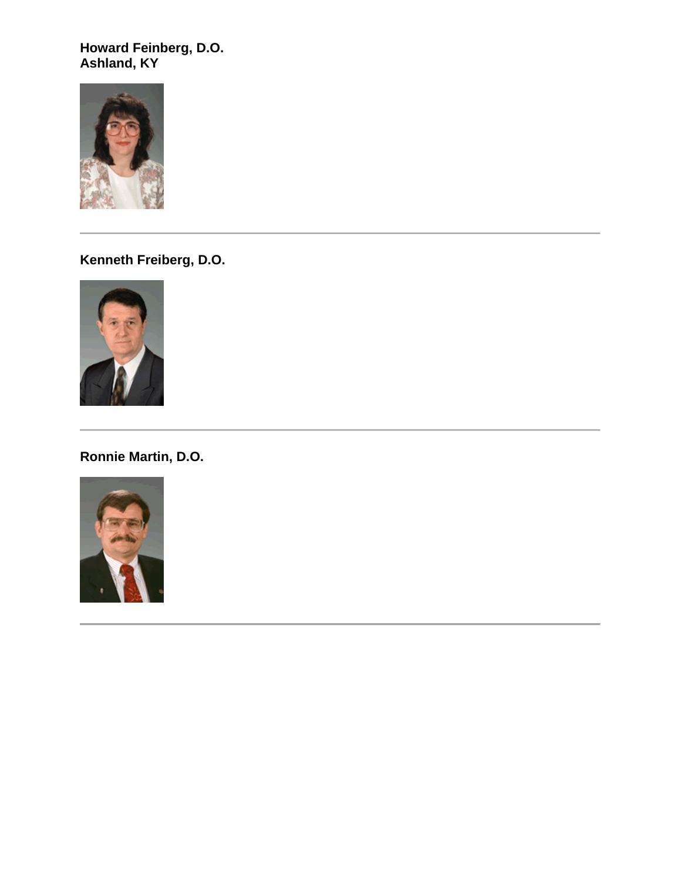**Howard Feinberg, D.O. Ashland, KY**



**Kenneth Freiberg, D.O.**



**Ronnie Martin, D.O.**

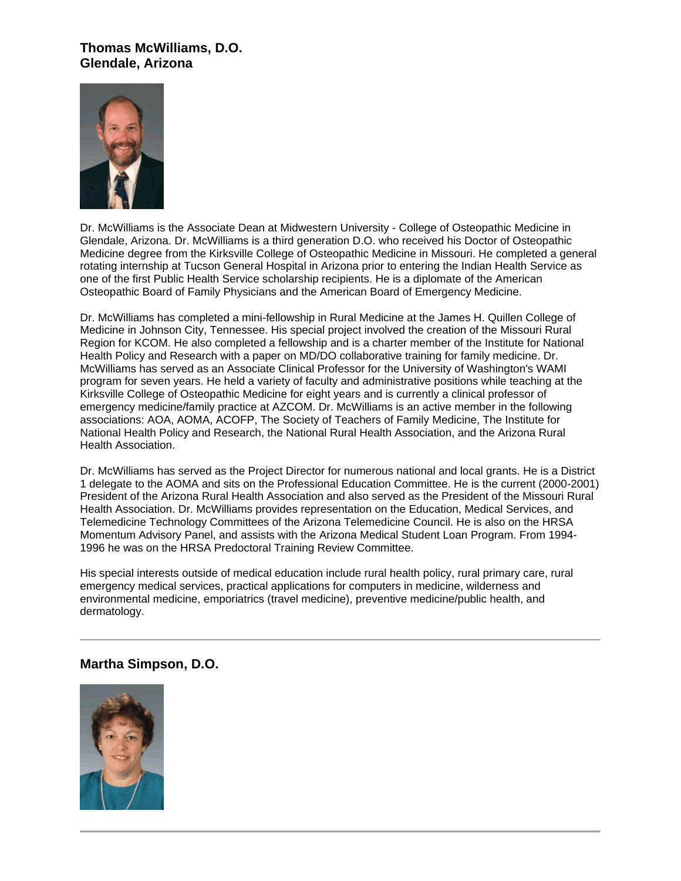### **Thomas McWilliams, D.O. Glendale, Arizona**



Dr. McWilliams is the Associate Dean at Midwestern University - College of Osteopathic Medicine in Glendale, Arizona. Dr. McWilliams is a third generation D.O. who received his Doctor of Osteopathic Medicine degree from the Kirksville College of Osteopathic Medicine in Missouri. He completed a general rotating internship at Tucson General Hospital in Arizona prior to entering the Indian Health Service as one of the first Public Health Service scholarship recipients. He is a diplomate of the American Osteopathic Board of Family Physicians and the American Board of Emergency Medicine.

Dr. McWilliams has completed a mini-fellowship in Rural Medicine at the James H. Quillen College of Medicine in Johnson City, Tennessee. His special project involved the creation of the Missouri Rural Region for KCOM. He also completed a fellowship and is a charter member of the Institute for National Health Policy and Research with a paper on MD/DO collaborative training for family medicine. Dr. McWilliams has served as an Associate Clinical Professor for the University of Washington's WAMI program for seven years. He held a variety of faculty and administrative positions while teaching at the Kirksville College of Osteopathic Medicine for eight years and is currently a clinical professor of emergency medicine/family practice at AZCOM. Dr. McWilliams is an active member in the following associations: AOA, AOMA, ACOFP, The Society of Teachers of Family Medicine, The Institute for National Health Policy and Research, the National Rural Health Association, and the Arizona Rural Health Association.

Dr. McWilliams has served as the Project Director for numerous national and local grants. He is a District 1 delegate to the AOMA and sits on the Professional Education Committee. He is the current (2000-2001) President of the Arizona Rural Health Association and also served as the President of the Missouri Rural Health Association. Dr. McWilliams provides representation on the Education, Medical Services, and Telemedicine Technology Committees of the Arizona Telemedicine Council. He is also on the HRSA Momentum Advisory Panel, and assists with the Arizona Medical Student Loan Program. From 1994- 1996 he was on the HRSA Predoctoral Training Review Committee.

His special interests outside of medical education include rural health policy, rural primary care, rural emergency medical services, practical applications for computers in medicine, wilderness and environmental medicine, emporiatrics (travel medicine), preventive medicine/public health, and dermatology.

#### **Martha Simpson, D.O.**

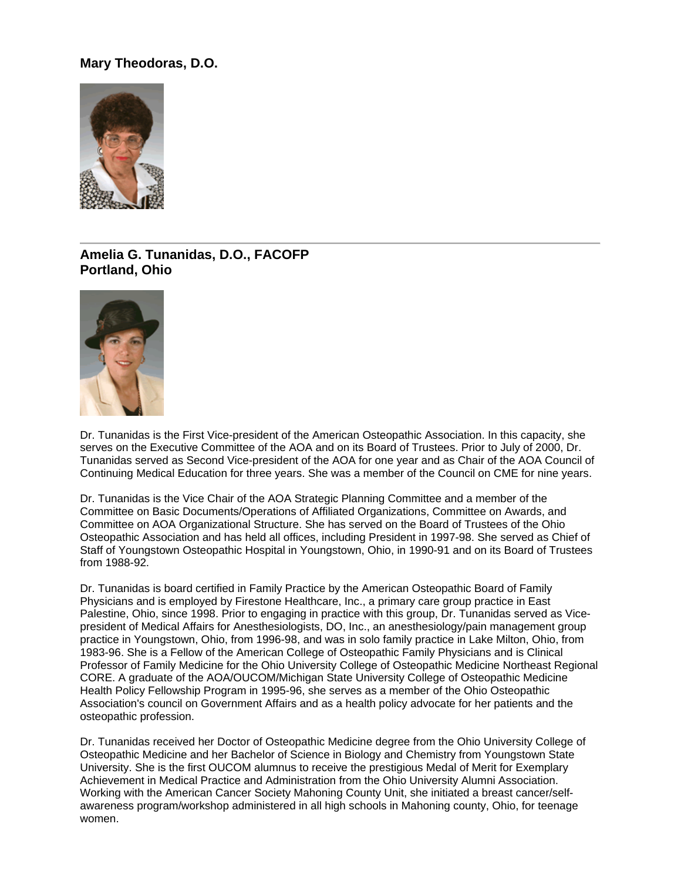# **Mary Theodoras, D.O.**



# **Amelia G. Tunanidas, D.O., FACOFP Portland, Ohio**



Dr. Tunanidas is the First Vice-president of the American Osteopathic Association. In this capacity, she serves on the Executive Committee of the AOA and on its Board of Trustees. Prior to July of 2000, Dr. Tunanidas served as Second Vice-president of the AOA for one year and as Chair of the AOA Council of Continuing Medical Education for three years. She was a member of the Council on CME for nine years.

Dr. Tunanidas is the Vice Chair of the AOA Strategic Planning Committee and a member of the Committee on Basic Documents/Operations of Affiliated Organizations, Committee on Awards, and Committee on AOA Organizational Structure. She has served on the Board of Trustees of the Ohio Osteopathic Association and has held all offices, including President in 1997-98. She served as Chief of Staff of Youngstown Osteopathic Hospital in Youngstown, Ohio, in 1990-91 and on its Board of Trustees from 1988-92.

Dr. Tunanidas is board certified in Family Practice by the American Osteopathic Board of Family Physicians and is employed by Firestone Healthcare, Inc., a primary care group practice in East Palestine, Ohio, since 1998. Prior to engaging in practice with this group, Dr. Tunanidas served as Vicepresident of Medical Affairs for Anesthesiologists, DO, Inc., an anesthesiology/pain management group practice in Youngstown, Ohio, from 1996-98, and was in solo family practice in Lake Milton, Ohio, from 1983-96. She is a Fellow of the American College of Osteopathic Family Physicians and is Clinical Professor of Family Medicine for the Ohio University College of Osteopathic Medicine Northeast Regional CORE. A graduate of the AOA/OUCOM/Michigan State University College of Osteopathic Medicine Health Policy Fellowship Program in 1995-96, she serves as a member of the Ohio Osteopathic Association's council on Government Affairs and as a health policy advocate for her patients and the osteopathic profession.

Dr. Tunanidas received her Doctor of Osteopathic Medicine degree from the Ohio University College of Osteopathic Medicine and her Bachelor of Science in Biology and Chemistry from Youngstown State University. She is the first OUCOM alumnus to receive the prestigious Medal of Merit for Exemplary Achievement in Medical Practice and Administration from the Ohio University Alumni Association. Working with the American Cancer Society Mahoning County Unit, she initiated a breast cancer/selfawareness program/workshop administered in all high schools in Mahoning county, Ohio, for teenage women.